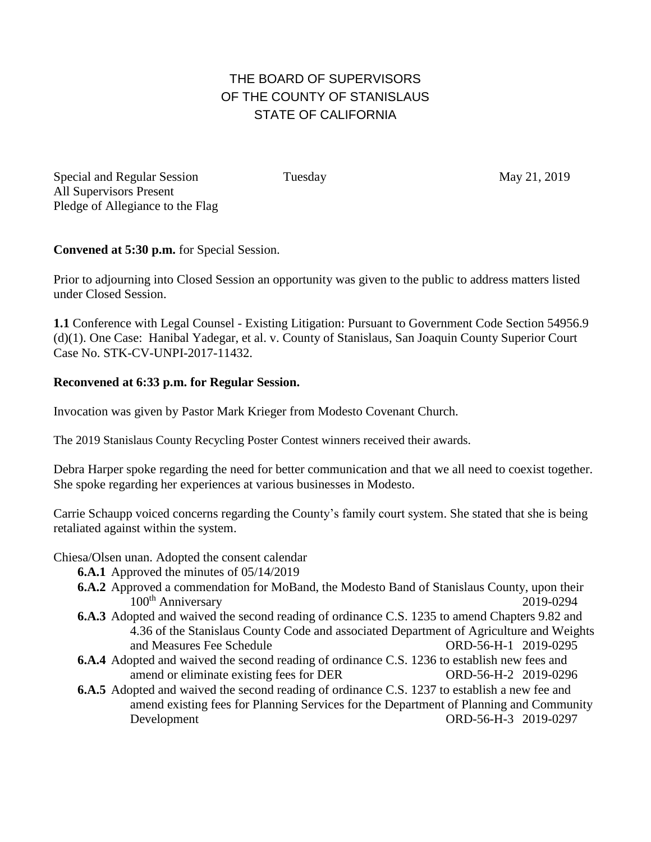## THE BOARD OF SUPERVISORS OF THE COUNTY OF STANISLAUS STATE OF CALIFORNIA

Special and Regular Session Tuesday Tuesday May 21, 2019 All Supervisors Present Pledge of Allegiance to the Flag

**Convened at 5:30 p.m.** for Special Session.

Prior to adjourning into Closed Session an opportunity was given to the public to address matters listed under Closed Session.

**1.1** Conference with Legal Counsel - Existing Litigation: Pursuant to Government Code Section 54956.9 (d)(1). One Case: Hanibal Yadegar, et al. v. County of Stanislaus, San Joaquin County Superior Court Case No. STK-CV-UNPI-2017-11432.

## **Reconvened at 6:33 p.m. for Regular Session.**

Invocation was given by Pastor Mark Krieger from Modesto Covenant Church.

The 2019 Stanislaus County Recycling Poster Contest winners received their awards.

Debra Harper spoke regarding the need for better communication and that we all need to coexist together. She spoke regarding her experiences at various businesses in Modesto.

Carrie Schaupp voiced concerns regarding the County's family court system. She stated that she is being retaliated against within the system.

Chiesa/Olsen unan. Adopted the consent calendar

**6.A.1** Approved the minutes of 05/14/2019

- **6.A.2** Approved a commendation for MoBand, the Modesto Band of Stanislaus County, upon their 100th Anniversary 2019-0294
- **6.A.3** Adopted and waived the second reading of ordinance C.S. 1235 to amend Chapters 9.82 and 4.36 of the Stanislaus County Code and associated Department of Agriculture and Weights and Measures Fee Schedule ORD-56-H-1 2019-0295
- **6.A.4** Adopted and waived the second reading of ordinance C.S. 1236 to establish new fees and amend or eliminate existing fees for DER ORD-56-H-2 2019-0296
- **6.A.5** Adopted and waived the second reading of ordinance C.S. 1237 to establish a new fee and amend existing fees for Planning Services for the Department of Planning and Community Development ORD-56-H-3 2019-0297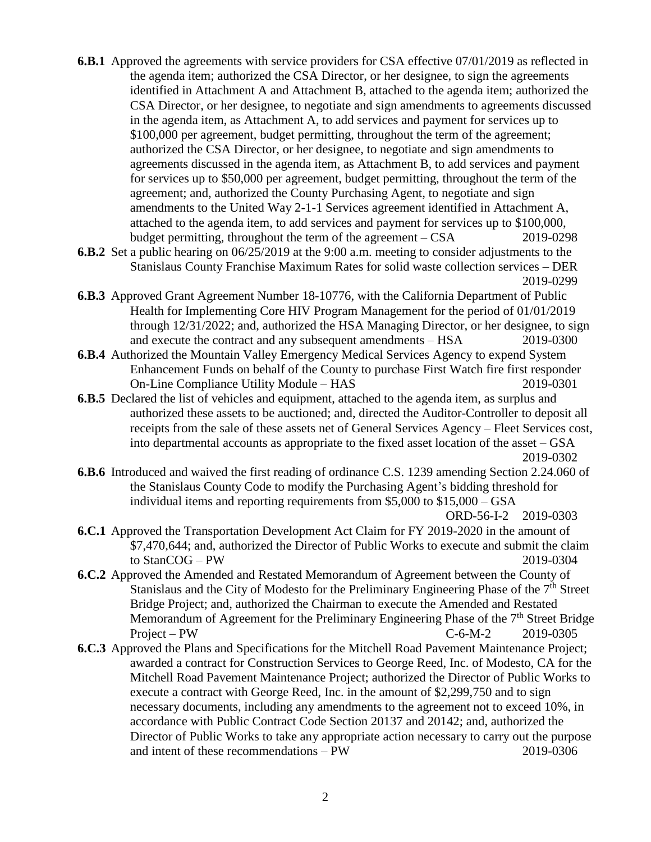- **6.B.1** Approved the agreements with service providers for CSA effective 07/01/2019 as reflected in the agenda item; authorized the CSA Director, or her designee, to sign the agreements identified in Attachment A and Attachment B, attached to the agenda item; authorized the CSA Director, or her designee, to negotiate and sign amendments to agreements discussed in the agenda item, as Attachment A, to add services and payment for services up to \$100,000 per agreement, budget permitting, throughout the term of the agreement; authorized the CSA Director, or her designee, to negotiate and sign amendments to agreements discussed in the agenda item, as Attachment B, to add services and payment for services up to \$50,000 per agreement, budget permitting, throughout the term of the agreement; and, authorized the County Purchasing Agent, to negotiate and sign amendments to the United Way 2-1-1 Services agreement identified in Attachment A, attached to the agenda item, to add services and payment for services up to \$100,000, budget permitting, throughout the term of the agreement – CSA 2019-0298
- **6.B.2** Set a public hearing on 06/25/2019 at the 9:00 a.m. meeting to consider adjustments to the Stanislaus County Franchise Maximum Rates for solid waste collection services – DER 2019-0299
- **6.B.3** Approved Grant Agreement Number 18-10776, with the California Department of Public Health for Implementing Core HIV Program Management for the period of 01/01/2019 through 12/31/2022; and, authorized the HSA Managing Director, or her designee, to sign and execute the contract and any subsequent amendments – HSA 2019-0300
- **6.B.4** Authorized the Mountain Valley Emergency Medical Services Agency to expend System Enhancement Funds on behalf of the County to purchase First Watch fire first responder On-Line Compliance Utility Module – HAS 2019-0301
- **6.B.5** Declared the list of vehicles and equipment, attached to the agenda item, as surplus and authorized these assets to be auctioned; and, directed the Auditor-Controller to deposit all receipts from the sale of these assets net of General Services Agency – Fleet Services cost, into departmental accounts as appropriate to the fixed asset location of the asset – GSA 2019-0302
- **6.B.6** Introduced and waived the first reading of ordinance C.S. 1239 amending Section 2.24.060 of the Stanislaus County Code to modify the Purchasing Agent's bidding threshold for individual items and reporting requirements from \$5,000 to \$15,000 – GSA

ORD-56-I-2 2019-0303

- **6.C.1** Approved the Transportation Development Act Claim for FY 2019-2020 in the amount of \$7,470,644; and, authorized the Director of Public Works to execute and submit the claim to StanCOG – PW 2019-0304
- **6.C.2** Approved the Amended and Restated Memorandum of Agreement between the County of Stanislaus and the City of Modesto for the Preliminary Engineering Phase of the 7<sup>th</sup> Street Bridge Project; and, authorized the Chairman to execute the Amended and Restated Memorandum of Agreement for the Preliminary Engineering Phase of the  $7<sup>th</sup>$  Street Bridge Project – PW C-6-M-2 2019-0305
- **6.C.3** Approved the Plans and Specifications for the Mitchell Road Pavement Maintenance Project; awarded a contract for Construction Services to George Reed, Inc. of Modesto, CA for the Mitchell Road Pavement Maintenance Project; authorized the Director of Public Works to execute a contract with George Reed, Inc. in the amount of \$2,299,750 and to sign necessary documents, including any amendments to the agreement not to exceed 10%, in accordance with Public Contract Code Section 20137 and 20142; and, authorized the Director of Public Works to take any appropriate action necessary to carry out the purpose and intent of these recommendations – PW 2019-0306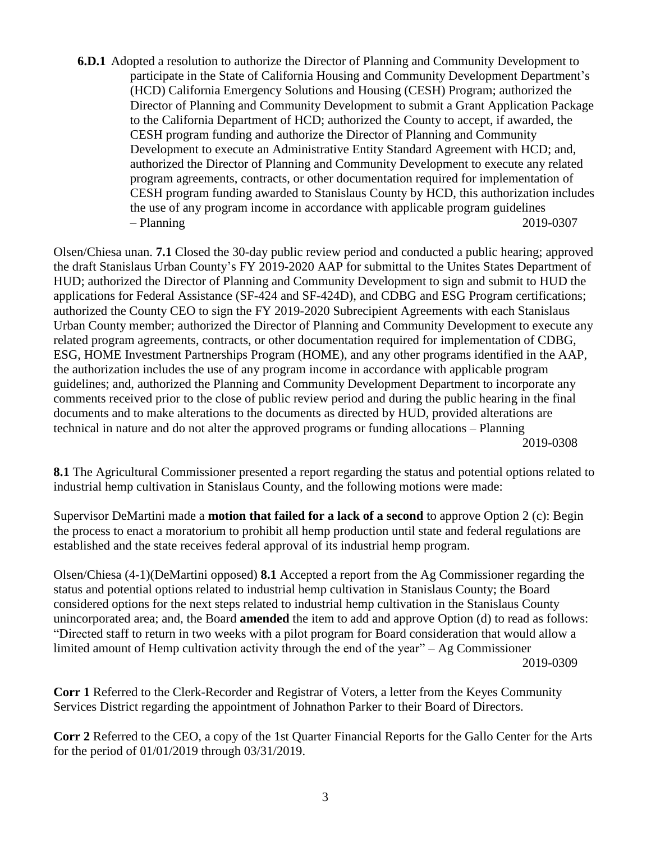**6.D.1** Adopted a resolution to authorize the Director of Planning and Community Development to participate in the State of California Housing and Community Development Department's (HCD) California Emergency Solutions and Housing (CESH) Program; authorized the Director of Planning and Community Development to submit a Grant Application Package to the California Department of HCD; authorized the County to accept, if awarded, the CESH program funding and authorize the Director of Planning and Community Development to execute an Administrative Entity Standard Agreement with HCD; and, authorized the Director of Planning and Community Development to execute any related program agreements, contracts, or other documentation required for implementation of CESH program funding awarded to Stanislaus County by HCD, this authorization includes the use of any program income in accordance with applicable program guidelines – Planning 2019-0307

Olsen/Chiesa unan. **7.1** Closed the 30-day public review period and conducted a public hearing; approved the draft Stanislaus Urban County's FY 2019-2020 AAP for submittal to the Unites States Department of HUD; authorized the Director of Planning and Community Development to sign and submit to HUD the applications for Federal Assistance (SF-424 and SF-424D), and CDBG and ESG Program certifications; authorized the County CEO to sign the FY 2019-2020 Subrecipient Agreements with each Stanislaus Urban County member; authorized the Director of Planning and Community Development to execute any related program agreements, contracts, or other documentation required for implementation of CDBG, ESG, HOME Investment Partnerships Program (HOME), and any other programs identified in the AAP, the authorization includes the use of any program income in accordance with applicable program guidelines; and, authorized the Planning and Community Development Department to incorporate any comments received prior to the close of public review period and during the public hearing in the final documents and to make alterations to the documents as directed by HUD, provided alterations are technical in nature and do not alter the approved programs or funding allocations – Planning 2019-0308

**8.1** The Agricultural Commissioner presented a report regarding the status and potential options related to industrial hemp cultivation in Stanislaus County, and the following motions were made:

Supervisor DeMartini made a **motion that failed for a lack of a second** to approve Option 2 (c): Begin the process to enact a moratorium to prohibit all hemp production until state and federal regulations are established and the state receives federal approval of its industrial hemp program.

Olsen/Chiesa (4-1)(DeMartini opposed) **8.1** Accepted a report from the Ag Commissioner regarding the status and potential options related to industrial hemp cultivation in Stanislaus County; the Board considered options for the next steps related to industrial hemp cultivation in the Stanislaus County unincorporated area; and, the Board **amended** the item to add and approve Option (d) to read as follows: "Directed staff to return in two weeks with a pilot program for Board consideration that would allow a limited amount of Hemp cultivation activity through the end of the year" – Ag Commissioner 2019-0309

**Corr 1** Referred to the Clerk-Recorder and Registrar of Voters, a letter from the Keyes Community Services District regarding the appointment of Johnathon Parker to their Board of Directors.

**Corr 2** Referred to the CEO, a copy of the 1st Quarter Financial Reports for the Gallo Center for the Arts for the period of 01/01/2019 through 03/31/2019.